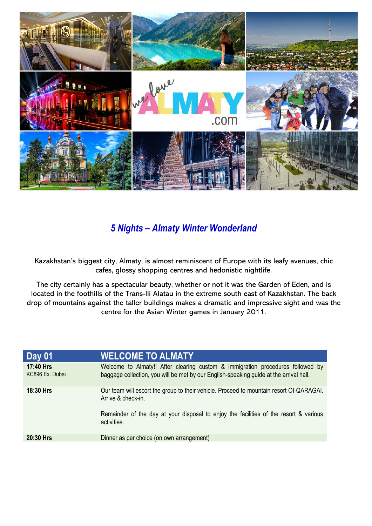

# *5 Nights – Almaty Winter Wonderland*

Kazakhstan's biggest city, Almaty, is almost reminiscent of Europe with its leafy avenues, chic cafes, glossy shopping centres and hedonistic nightlife.

The city certainly has a spectacular beauty, whether or not it was the Garden of Eden, and is located in the foothills of the Trans-Ili Alatau in the extreme south east of Kazakhstan. The back drop of mountains against the taller buildings makes a dramatic and impressive sight and was the centre for the Asian Winter games in January 2011.

| <b>Day 01</b>                | <b>WELCOME TO ALMATY</b>                                                                                                                                                 |
|------------------------------|--------------------------------------------------------------------------------------------------------------------------------------------------------------------------|
| 17:40 Hrs<br>KC896 Ex. Dubai | Welcome to Almaty!! After clearing custom & immigration procedures followed by<br>baggage collection, you will be met by our English-speaking guide at the arrival hall. |
| <b>18:30 Hrs</b>             | Our team will escort the group to their vehicle. Proceed to mountain resort OI-QARAGAI.<br>Arrive & check-in.                                                            |
|                              | Remainder of the day at your disposal to enjoy the facilities of the resort & various<br>activities.                                                                     |
| 20:30 Hrs                    | Dinner as per choice (on own arrangement)                                                                                                                                |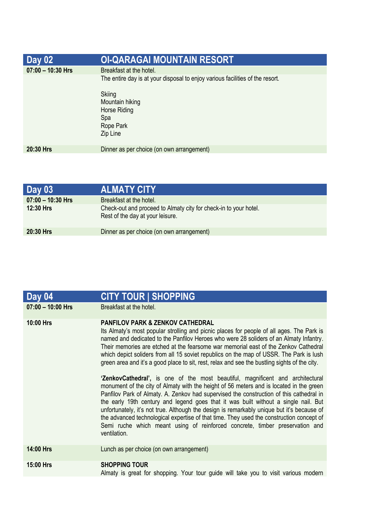| <b>Day 02</b>     | <b>OI-QARAGAI MOUNTAIN RESORT</b>                                             |
|-------------------|-------------------------------------------------------------------------------|
| 07:00 - 10:30 Hrs | Breakfast at the hotel.                                                       |
|                   | The entire day is at your disposal to enjoy various facilities of the resort. |
|                   | Skiing                                                                        |
|                   | Mountain hiking                                                               |
|                   | Horse Riding                                                                  |
|                   | Spa                                                                           |
|                   | Rope Park                                                                     |
|                   | Zip Line                                                                      |
| 20:30 Hrs         | Dinner as per choice (on own arrangement)                                     |
|                   |                                                                               |

| Day 03                                  | <b>ALMATY CITY</b>                                                                                                              |
|-----------------------------------------|---------------------------------------------------------------------------------------------------------------------------------|
| $07:00 - 10:30$ Hrs<br><b>12:30 Hrs</b> | Breakfast at the hotel.<br>Check-out and proceed to Almaty city for check-in to your hotel.<br>Rest of the day at your leisure. |
| 20:30 Hrs                               | Dinner as per choice (on own arrangement)                                                                                       |

| Day 04              | <b>CITY TOUR   SHOPPING</b>                                                                                                                                                                                                                                                                                                                                                                                                                                                                                                                                                                                                                                                                                                                                                                                                                                                                                                                                                                                                                                                                                                                                                    |
|---------------------|--------------------------------------------------------------------------------------------------------------------------------------------------------------------------------------------------------------------------------------------------------------------------------------------------------------------------------------------------------------------------------------------------------------------------------------------------------------------------------------------------------------------------------------------------------------------------------------------------------------------------------------------------------------------------------------------------------------------------------------------------------------------------------------------------------------------------------------------------------------------------------------------------------------------------------------------------------------------------------------------------------------------------------------------------------------------------------------------------------------------------------------------------------------------------------|
| $07:00 - 10:00$ Hrs | Breakfast at the hotel.                                                                                                                                                                                                                                                                                                                                                                                                                                                                                                                                                                                                                                                                                                                                                                                                                                                                                                                                                                                                                                                                                                                                                        |
| 10:00 Hrs           | <b>PANFILOV PARK &amp; ZENKOV CATHEDRAL</b><br>Its Almaty's most popular strolling and picnic places for people of all ages. The Park is<br>named and dedicated to the Panfilov Heroes who were 28 soliders of an Almaty Infantry.<br>Their memories are etched at the fearsome war memorial east of the Zenkov Cathedral<br>which depict soliders from all 15 soviet republics on the map of USSR. The Park is lush<br>green area and it's a good place to sit, rest, relax and see the bustling sights of the city.<br>'ZenkovCathedral', is one of the most beautiful, magnificent and architectural<br>monument of the city of Almaty with the height of 56 meters and is located in the green<br>Panfilov Park of Almaty. A. Zenkov had supervised the construction of this cathedral in<br>the early 19th century and legend goes that it was built without a single nail. But<br>unfortunately, it's not true. Although the design is remarkably unique but it's because of<br>the advanced technological expertise of that time. They used the construction concept of<br>Semi ruche which meant using of reinforced concrete, timber preservation and<br>ventilation. |
| 14:00 Hrs           | Lunch as per choice (on own arrangement)                                                                                                                                                                                                                                                                                                                                                                                                                                                                                                                                                                                                                                                                                                                                                                                                                                                                                                                                                                                                                                                                                                                                       |
| 15:00 Hrs           | <b>SHOPPING TOUR</b><br>Almaty is great for shopping. Your tour guide will take you to visit various modern                                                                                                                                                                                                                                                                                                                                                                                                                                                                                                                                                                                                                                                                                                                                                                                                                                                                                                                                                                                                                                                                    |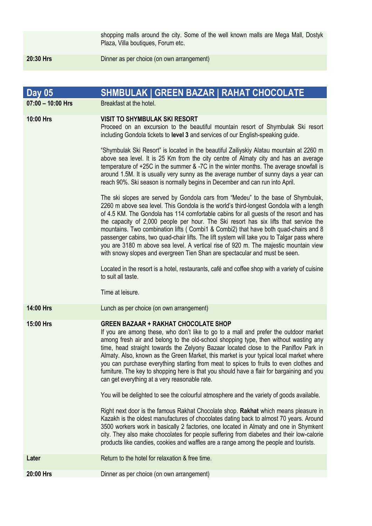shopping malls around the city. Some of the well known malls are Mega Mall, Dostyk Plaza, Villa boutiques, Forum etc.

**20:30 Hrs** Dinner as per choice (on own arrangement)

| <b>Day 05</b>       | <b>SHMBULAK   GREEN BAZAR   RAHAT CHOCOLATE</b>                                                                                                                                                                                                                                                                                                                                                                                                                                                                                                                                                                                                                                                                                                                                                                                                                                                                                                                                                                                                                                                                                                                                                                                                                                                                                                                                                                                                                                                                     |  |  |  |  |
|---------------------|---------------------------------------------------------------------------------------------------------------------------------------------------------------------------------------------------------------------------------------------------------------------------------------------------------------------------------------------------------------------------------------------------------------------------------------------------------------------------------------------------------------------------------------------------------------------------------------------------------------------------------------------------------------------------------------------------------------------------------------------------------------------------------------------------------------------------------------------------------------------------------------------------------------------------------------------------------------------------------------------------------------------------------------------------------------------------------------------------------------------------------------------------------------------------------------------------------------------------------------------------------------------------------------------------------------------------------------------------------------------------------------------------------------------------------------------------------------------------------------------------------------------|--|--|--|--|
| $07:00 - 10:00$ Hrs | Breakfast at the hotel.                                                                                                                                                                                                                                                                                                                                                                                                                                                                                                                                                                                                                                                                                                                                                                                                                                                                                                                                                                                                                                                                                                                                                                                                                                                                                                                                                                                                                                                                                             |  |  |  |  |
| 10:00 Hrs           | <b>VISIT TO SHYMBULAK SKI RESORT</b><br>Proceed on an excursion to the beautiful mountain resort of Shymbulak Ski resort<br>including Gondola tickets to level 3 and services of our English-speaking guide.<br>"Shymbulak Ski Resort" is located in the beautiful Zailiyskiy Alatau mountain at 2260 m<br>above sea level. It is 25 Km from the city centre of Almaty city and has an average<br>temperature of +25C in the summer & -7C in the winter months. The average snowfall is<br>around 1.5M. It is usually very sunny as the average number of sunny days a year can<br>reach 90%. Ski season is normally begins in December and can run into April.<br>The ski slopes are served by Gondola cars from "Medeu" to the base of Shymbulak,<br>2260 m above sea level. This Gondola is the world's third-longest Gondola with a length<br>of 4.5 KM. The Gondola has 114 comfortable cabins for all guests of the resort and has<br>the capacity of 2,000 people per hour. The Ski resort has six lifts that service the<br>mountains. Two combination lifts (Combi1 & Combi2) that have both quad-chairs and 8<br>passenger cabins, two quad-chair lifts. The lift system will take you to Talgar pass where<br>you are 3180 m above sea level. A vertical rise of 920 m. The majestic mountain view<br>with snowy slopes and evergreen Tien Shan are spectacular and must be seen.<br>Located in the resort is a hotel, restaurants, café and coffee shop with a variety of cuisine<br>to suit all taste. |  |  |  |  |
|                     | Time at leisure.                                                                                                                                                                                                                                                                                                                                                                                                                                                                                                                                                                                                                                                                                                                                                                                                                                                                                                                                                                                                                                                                                                                                                                                                                                                                                                                                                                                                                                                                                                    |  |  |  |  |
| 14:00 Hrs           | Lunch as per choice (on own arrangement)                                                                                                                                                                                                                                                                                                                                                                                                                                                                                                                                                                                                                                                                                                                                                                                                                                                                                                                                                                                                                                                                                                                                                                                                                                                                                                                                                                                                                                                                            |  |  |  |  |
| 15:00 Hrs           | <b>GREEN BAZAAR + RAKHAT CHOCOLATE SHOP</b><br>If you are among these, who don't like to go to a mall and prefer the outdoor market<br>among fresh air and belong to the old-school shopping type, then without wasting any<br>time, head straight towards the Zelyony Bazaar located close to the Paniflov Park in<br>Almaty. Also, known as the Green Market, this market is your typical local market where<br>you can purchase everything starting from meat to spices to fruits to even clothes and<br>furniture. The key to shopping here is that you should have a flair for bargaining and you<br>can get everything at a very reasonable rate.<br>You will be delighted to see the colourful atmosphere and the variety of goods available.<br>Right next door is the famous Rakhat Chocolate shop. Rakhat which means pleasure in<br>Kazakh is the oldest manufactures of chocolates dating back to almost 70 years. Around<br>3500 workers work in basically 2 factories, one located in Almaty and one in Shymkent                                                                                                                                                                                                                                                                                                                                                                                                                                                                                      |  |  |  |  |
|                     | city. They also make chocolates for people suffering from diabetes and their low-calorie<br>products like candies, cookies and waffles are a range among the people and tourists.                                                                                                                                                                                                                                                                                                                                                                                                                                                                                                                                                                                                                                                                                                                                                                                                                                                                                                                                                                                                                                                                                                                                                                                                                                                                                                                                   |  |  |  |  |
| Later               | Return to the hotel for relaxation & free time.                                                                                                                                                                                                                                                                                                                                                                                                                                                                                                                                                                                                                                                                                                                                                                                                                                                                                                                                                                                                                                                                                                                                                                                                                                                                                                                                                                                                                                                                     |  |  |  |  |
| 20:00 Hrs           | Dinner as per choice (on own arrangement)                                                                                                                                                                                                                                                                                                                                                                                                                                                                                                                                                                                                                                                                                                                                                                                                                                                                                                                                                                                                                                                                                                                                                                                                                                                                                                                                                                                                                                                                           |  |  |  |  |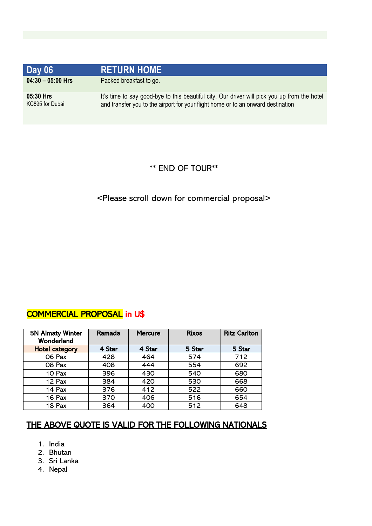#### **Day 06 RETURN HOME 04:30 – 05:00 Hrs** Packed breakfast to go. **05:30 Hrs** KC895 for Dubai It's time to say good-bye to this beautiful city. Our driver will pick you up from the hotel and transfer you to the airport for your flight home or to an onward destination

### \*\* END OF TOUR\*\*

<Please scroll down for commercial proposal>

## COMMERCIAL PROPOSAL in U\$

| <b>5N Almaty Winter</b><br>Wonderland | Ramada | <b>Mercure</b> | <b>Rixos</b> | <b>Ritz Carlton</b> |
|---------------------------------------|--------|----------------|--------------|---------------------|
| <b>Hotel category</b>                 | 4 Star | 4 Star         | 5 Star       | 5 Star              |
| 06 Pax                                | 428    | 464            | 574          | 712                 |
| 08 Pax                                | 408    | 444            | 554          | 692                 |
| 10 Pax                                | 396    | 430            | 540          | 680                 |
| 12 Pax                                | 384    | 420            | 530          | 668                 |
| 14 Pax                                | 376    | 412            | 522          | 660                 |
| 16 Pax                                | 370    | 406            | 516          | 654                 |
| 18 Pax                                | 364    | 400            | 512          | 648                 |

### THE ABOVE QUOTE IS VALID FOR THE FOLLOWING NATIONALS

- 1. India
- 2. Bhutan
- 3. Sri Lanka
- 4. Nepal